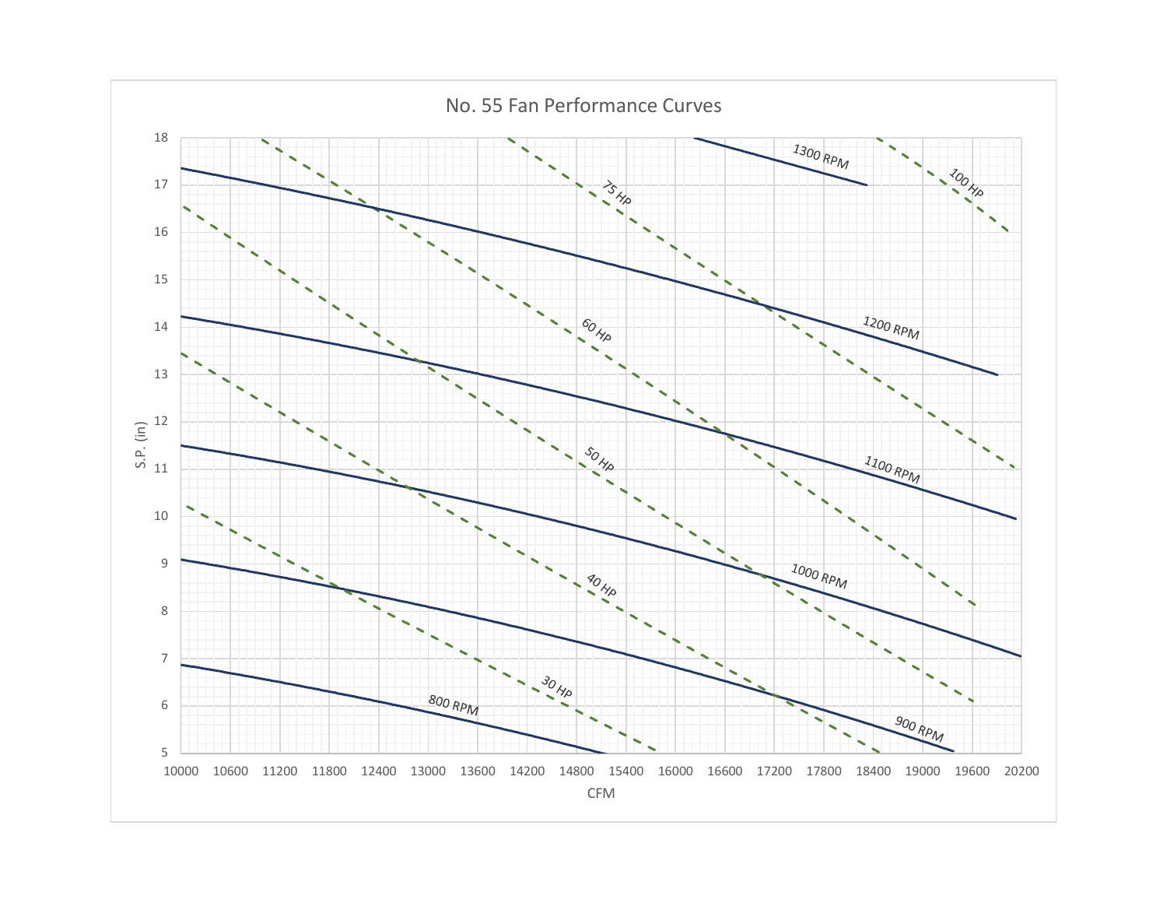